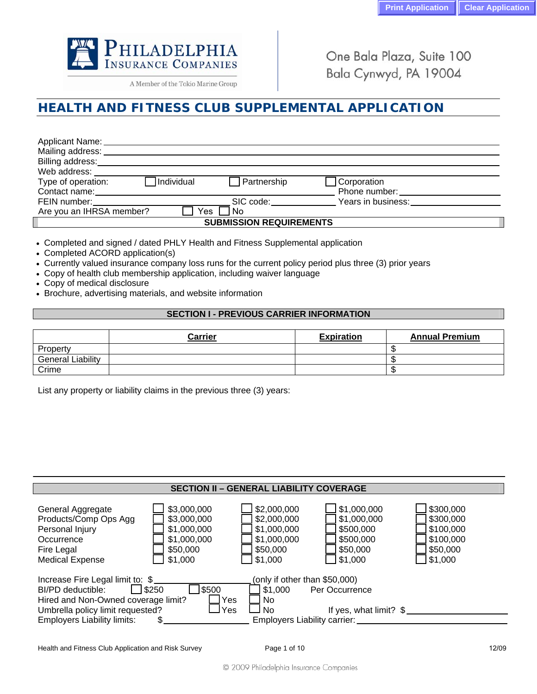

A Member of the Tokio Marine Group

One Bala Plaza, Suite 100 Bala Cynwyd, PA 19004

# **HEALTH AND FITNESS CLUB SUPPLEMENTAL APPLICATION**

| Applicant Name: __               |                                |                    |  |
|----------------------------------|--------------------------------|--------------------|--|
| Mailing address: _               |                                |                    |  |
| Billing address:                 |                                |                    |  |
| Web address:                     |                                |                    |  |
| Individual<br>Type of operation: | Partnership                    | Corporation        |  |
| Contact name:                    |                                | Phone number:      |  |
| FEIN number:                     | SIC code:                      | Years in business: |  |
| Are you an IHRSA member?         | Yes<br>No                      |                    |  |
|                                  | <b>SUBMISSION REQUIREMENTS</b> |                    |  |

- Completed and signed / dated PHLY Health and Fitness Supplemental application
- Completed ACORD application(s)
- Currently valued insurance company loss runs for the current policy period plus three (3) prior years
- Copy of health club membership application, including waiver language
- Copy of medical disclosure
- Brochure, advertising materials, and website information

## **SECTION I - PREVIOUS CARRIER INFORMATION**

|                          | <b>Carrier</b> | <u>Expiration</u> | <b>Annual Premium</b> |
|--------------------------|----------------|-------------------|-----------------------|
| Property                 |                |                   |                       |
| <b>General Liability</b> |                |                   |                       |
| Crime                    |                |                   |                       |

List any property or liability claims in the previous three (3) years:

|                                                                                                                                                                        |                                                                                 | <b>SECTION II – GENERAL LIABILITY COVERAGE</b>                                  |                                                                                                            |                                                                         |
|------------------------------------------------------------------------------------------------------------------------------------------------------------------------|---------------------------------------------------------------------------------|---------------------------------------------------------------------------------|------------------------------------------------------------------------------------------------------------|-------------------------------------------------------------------------|
| General Aggregate<br>Products/Comp Ops Agg<br>Personal Injury<br>Occurrence<br>Fire Legal<br><b>Medical Expense</b>                                                    | \$3,000,000<br>\$3,000,000<br>\$1,000,000<br>\$1,000,000<br>\$50,000<br>\$1,000 | \$2,000,000<br>\$2,000,000<br>\$1,000,000<br>\$1,000,000<br>\$50,000<br>\$1,000 | \$1,000,000<br>\$1,000,000<br>\$500,000<br>\$500,000<br>\$50,000<br>\$1,000                                | \$300,000<br>\$300,000<br>\$100,000<br>\$100,000<br>\$50,000<br>\$1,000 |
| Increase Fire Legal limit to: \$<br>BI/PD deductible:<br>Hired and Non-Owned coverage limit?<br>Umbrella policy limit requested?<br><b>Employers Liability limits:</b> | \$500<br>l \$250<br>Yes<br>Yes                                                  | \$1,000<br><b>No</b><br><b>No</b>                                               | (only if other than \$50,000)<br>Per Occurrence<br>If yes, what limit? $$$<br>Employers Liability carrier: |                                                                         |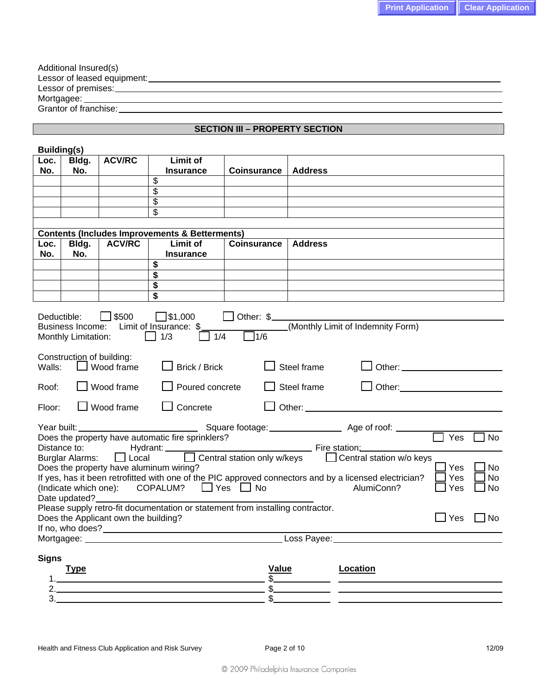| Additional Insured(s)       |
|-----------------------------|
| Lessor of leased equipment: |
| Lessor of premises:         |
| Mortgagee: _                |
| Grantor of franchise:       |

# **SECTION III – PROPERTY SECTION**

| <b>Building(s)</b> |                           |                                      |                                                                                     |                    |                |                                                                                                                                                                                                         |               |           |
|--------------------|---------------------------|--------------------------------------|-------------------------------------------------------------------------------------|--------------------|----------------|---------------------------------------------------------------------------------------------------------------------------------------------------------------------------------------------------------|---------------|-----------|
| Loc.               | Bldg.                     | <b>ACV/RC</b>                        | Limit of                                                                            |                    |                |                                                                                                                                                                                                         |               |           |
| No.                | No.                       |                                      | <b>Insurance</b>                                                                    | <b>Coinsurance</b> | <b>Address</b> |                                                                                                                                                                                                         |               |           |
|                    |                           |                                      | \$                                                                                  |                    |                |                                                                                                                                                                                                         |               |           |
|                    |                           |                                      | \$                                                                                  |                    |                |                                                                                                                                                                                                         |               |           |
|                    |                           |                                      | \$                                                                                  |                    |                |                                                                                                                                                                                                         |               |           |
|                    |                           |                                      | \$                                                                                  |                    |                |                                                                                                                                                                                                         |               |           |
|                    |                           |                                      |                                                                                     |                    |                |                                                                                                                                                                                                         |               |           |
|                    |                           |                                      | <b>Contents (Includes Improvements &amp; Betterments)</b>                           |                    |                |                                                                                                                                                                                                         |               |           |
| Loc.               | Bldg.                     | <b>ACV/RC</b>                        | Limit of                                                                            | <b>Coinsurance</b> | <b>Address</b> |                                                                                                                                                                                                         |               |           |
| No.                | No.                       |                                      | <b>Insurance</b>                                                                    |                    |                |                                                                                                                                                                                                         |               |           |
|                    |                           |                                      | \$                                                                                  |                    |                |                                                                                                                                                                                                         |               |           |
|                    |                           |                                      | \$                                                                                  |                    |                |                                                                                                                                                                                                         |               |           |
|                    |                           |                                      | \$                                                                                  |                    |                |                                                                                                                                                                                                         |               |           |
|                    |                           |                                      | \$                                                                                  |                    |                |                                                                                                                                                                                                         |               |           |
| Deductible:        |                           | $\Box$ \$500                         | $\Box$ \$1,000                                                                      |                    |                |                                                                                                                                                                                                         |               |           |
|                    |                           |                                      | Business Income: Limit of Insurance: \$                                             |                    |                | (Monthly Limit of Indemnity Form)                                                                                                                                                                       |               |           |
|                    |                           | <b>Monthly Limitation:</b>           | $\Box$ 1/3<br>1/4                                                                   | $\Box$ 1/6         |                |                                                                                                                                                                                                         |               |           |
|                    |                           |                                      |                                                                                     |                    |                |                                                                                                                                                                                                         |               |           |
|                    | Construction of building: |                                      |                                                                                     |                    |                |                                                                                                                                                                                                         |               |           |
| Walls:             |                           | $\Box$ Wood frame                    | <b>Brick / Brick</b><br>$\mathbf{1}$                                                |                    | Steel frame    | <b>□ Other:</b> ______________________                                                                                                                                                                  |               |           |
|                    |                           |                                      |                                                                                     |                    |                |                                                                                                                                                                                                         |               |           |
| Roof:              |                           | $\Box$ Wood frame                    | Poured concrete                                                                     | $\Box$             | Steel frame    | Other: ______________________                                                                                                                                                                           |               |           |
| Floor:             |                           | $\Box$ Wood frame                    | Concrete                                                                            |                    |                |                                                                                                                                                                                                         |               |           |
|                    |                           |                                      |                                                                                     |                    |                |                                                                                                                                                                                                         |               |           |
|                    |                           |                                      |                                                                                     |                    |                |                                                                                                                                                                                                         | Yes           |           |
|                    |                           |                                      | Does the property have automatic fire sprinklers?                                   |                    |                |                                                                                                                                                                                                         |               | <b>No</b> |
|                    |                           |                                      |                                                                                     |                    |                | Does the property have automatic the spiritualistic station.<br>Distance to: Hydrant: Hydrant: Fire station: Fire station<br>Burglar Alarms: Decal Dentral station only w/keys Dentral station w/o keys |               |           |
|                    |                           |                                      | Does the property have aluminum wiring?                                             |                    |                |                                                                                                                                                                                                         | $\Box$ Yes    | <b>No</b> |
|                    |                           |                                      |                                                                                     |                    |                | If yes, has it been retrofitted with one of the PIC approved connectors and by a licensed electrician?                                                                                                  | Yes           | <b>No</b> |
|                    |                           |                                      | (Indicate which one): $\qquad \qquad \qquad \Box \text{ Yes} \quad \Box \text{ No}$ |                    |                | AlumiConn?                                                                                                                                                                                              | $\Box$ Yes    | $\Box$ No |
|                    |                           |                                      |                                                                                     |                    |                |                                                                                                                                                                                                         |               |           |
|                    |                           |                                      | Please supply retro-fit documentation or statement from installing contractor.      |                    |                |                                                                                                                                                                                                         |               |           |
|                    |                           | Does the Applicant own the building? |                                                                                     |                    |                |                                                                                                                                                                                                         | $\square$ Yes | $\Box$ No |
|                    |                           |                                      |                                                                                     |                    |                |                                                                                                                                                                                                         |               |           |
|                    |                           | Mortgagee: __________________        |                                                                                     |                    |                |                                                                                                                                                                                                         |               |           |
|                    |                           |                                      |                                                                                     |                    |                |                                                                                                                                                                                                         |               |           |
| <b>Signs</b>       |                           |                                      |                                                                                     |                    |                |                                                                                                                                                                                                         |               |           |
|                    | <b>Type</b>               |                                      |                                                                                     | Value              |                | Location                                                                                                                                                                                                |               |           |
|                    | 1.                        |                                      |                                                                                     | $\frac{1}{2}$      |                |                                                                                                                                                                                                         |               |           |
|                    |                           | 2.                                   |                                                                                     |                    |                |                                                                                                                                                                                                         |               |           |
|                    |                           |                                      |                                                                                     | $-$ \$ $-$         |                |                                                                                                                                                                                                         |               |           |
|                    |                           |                                      |                                                                                     |                    |                |                                                                                                                                                                                                         |               |           |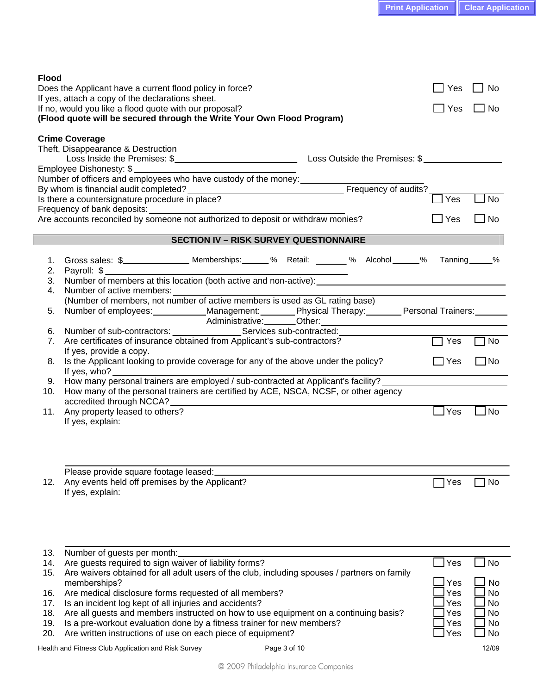| <b>Flood</b><br>Does the Applicant have a current flood policy in force?<br>No ا<br>Yes<br>If yes, attach a copy of the declarations sheet.<br>If no, would you like a flood quote with our proposal?<br>$\Box$ No<br>$\Box$ Yes<br>(Flood quote will be secured through the Write Your Own Flood Program)<br><b>Crime Coverage</b><br>Theft, Disappearance & Destruction<br>Loss Inside the Premises: \$<br>Employee Dishonesty: \$<br>Number of officers and employees who have custody of the money:<br>by whom is financial audit completed?<br>Is there a countersignature procedure in place?<br>Frequency of audits?<br><b>No</b><br>Yes<br>Frequency of bank deposits:<br>Are accounts reconciled by someone not authorized to deposit or withdraw monies?<br>$\Box$ Yes<br>$\square$ No |  |
|--------------------------------------------------------------------------------------------------------------------------------------------------------------------------------------------------------------------------------------------------------------------------------------------------------------------------------------------------------------------------------------------------------------------------------------------------------------------------------------------------------------------------------------------------------------------------------------------------------------------------------------------------------------------------------------------------------------------------------------------------------------------------------------------------|--|
| <b>SECTION IV - RISK SURVEY QUESTIONNAIRE</b>                                                                                                                                                                                                                                                                                                                                                                                                                                                                                                                                                                                                                                                                                                                                                    |  |
| 1. Gross sales: \$<br>2011 Memberships: 1. 1990 Setail: 1. 1990 Setonol 1. 1991 Setail: 1. 1991 Setail: 1. 1991 Setail: 1. 1991 Seta<br>2. Payroll: \$<br>3. Number of members at this location (both active and non-active):<br>4.<br>Number of employees: ____________Management: ________Physical Therapy: ________Personal Trainers: _______<br>5.                                                                                                                                                                                                                                                                                                                                                                                                                                           |  |
|                                                                                                                                                                                                                                                                                                                                                                                                                                                                                                                                                                                                                                                                                                                                                                                                  |  |
| 6.<br>Are certificates of insurance obtained from Applicant's sub-contractors?<br>Yes<br>No<br>7 <sub>1</sub><br>If yes, provide a copy.<br>Is the Applicant looking to provide coverage for any of the above under the policy?<br>$\square$ No<br>$\Box$ Yes<br>8.                                                                                                                                                                                                                                                                                                                                                                                                                                                                                                                              |  |
| If yes, who? $\sqrt{2}$<br>9. How many personal trainers are employed / sub-contracted at Applicant's facility? _________________________<br>How many of the personal trainers are certified by ACE, NSCA, NCSF, or other agency<br>10.<br>accredited through NCCA?_                                                                                                                                                                                                                                                                                                                                                                                                                                                                                                                             |  |
| $\Box$ Yes<br>11. Any property leased to others?<br>$\Box$ No<br>If yes, explain:                                                                                                                                                                                                                                                                                                                                                                                                                                                                                                                                                                                                                                                                                                                |  |
| Please provide square footage leased:<br>Any events held off premises by the Applicant?<br>12.<br>No<br>Yes<br>If yes, explain:                                                                                                                                                                                                                                                                                                                                                                                                                                                                                                                                                                                                                                                                  |  |
| 13.<br>Number of guests per month:                                                                                                                                                                                                                                                                                                                                                                                                                                                                                                                                                                                                                                                                                                                                                               |  |
| ]Yes<br>No<br>Are guests required to sign waiver of liability forms?<br>14.<br>15.<br>Are waivers obtained for all adult users of the club, including spouses / partners on family<br>memberships?<br>Yes<br>No<br>Yes<br>16.<br>Are medical disclosure forms requested of all members?<br>No<br>Is an incident log kept of all injuries and accidents?<br>Yes<br>17.<br>No<br>18.<br>Are all guests and members instructed on how to use equipment on a continuing basis?<br>Yes<br>No<br>19.<br>Is a pre-workout evaluation done by a fitness trainer for new members?<br>Yes<br><b>No</b><br>20.<br>Are written instructions of use on each piece of equipment?<br>Yes<br>No<br>Health and Fitness Club Application and Risk Survey<br>Page 3 of 10<br>12/09                                  |  |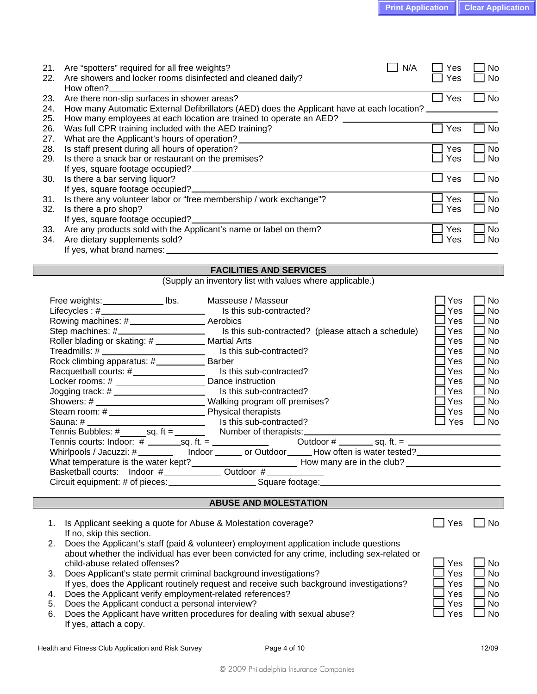| 21.<br>22. | N/A<br>Are "spotters" required for all free weights?<br>Are showers and locker rooms disinfected and cleaned daily?<br>How often? | Yes<br>⁄es | No  |
|------------|-----------------------------------------------------------------------------------------------------------------------------------|------------|-----|
| 23.        | Are there non-slip surfaces in shower areas?                                                                                      | Yes        | No. |
| 24.        | How many Automatic External Defibrillators (AED) does the Applicant have at each location?                                        |            |     |
| 25.        | How many employees at each location are trained to operate an AED?                                                                |            |     |
| 26.        | Was full CPR training included with the AED training?                                                                             | Yes        |     |
| 27.        | What are the Applicant's hours of operation?                                                                                      |            |     |
| 28.        | Is staff present during all hours of operation?                                                                                   | Yes        |     |
| 29.        | Is there a snack bar or restaurant on the premises?                                                                               | Yes        |     |
|            | If yes, square footage occupied?                                                                                                  |            |     |
| 30.        | Is there a bar serving liquor?                                                                                                    | Yes        |     |
|            | If yes, square footage occupied?                                                                                                  |            |     |
| 31.        | Is there any volunteer labor or "free membership / work exchange"?                                                                | Yes        |     |
| 32.        | Is there a pro shop?                                                                                                              | Yes        |     |
|            | If yes, square footage occupied?                                                                                                  |            |     |
| 33.        | Are any products sold with the Applicant's name or label on them?                                                                 | Yes        |     |
| 34.        | Are dietary supplements sold?                                                                                                     | Yes        |     |
|            | If yes, what brand names: ________                                                                                                |            |     |
|            |                                                                                                                                   |            |     |
|            | <b>FACILITIES AND SERVICES</b>                                                                                                    |            |     |
|            | (Supply an inventory list with values where applicable.)                                                                          |            |     |
|            |                                                                                                                                   |            |     |

| Free weights: __________________ lbs.                                   | Masseuse / Masseur                                                                                        | Yes             | No          |
|-------------------------------------------------------------------------|-----------------------------------------------------------------------------------------------------------|-----------------|-------------|
|                                                                         |                                                                                                           | Yes             | <b>No</b>   |
|                                                                         |                                                                                                           | Yes             | No          |
|                                                                         |                                                                                                           | $\lrcorner$ Yes | No          |
| Roller blading or skating: # _______________ Martial Arts               |                                                                                                           | <b>IYes</b>     | No          |
|                                                                         |                                                                                                           | Yes             | <b>No</b>   |
|                                                                         |                                                                                                           | Yes             | <b>No</b>   |
| Racquetball courts: #__________________________ Is this sub-contracted? |                                                                                                           | Yes             | No          |
|                                                                         |                                                                                                           | Yes             | <b>No</b>   |
|                                                                         |                                                                                                           | Yes             | J No        |
|                                                                         |                                                                                                           | IYes            | _l No       |
|                                                                         |                                                                                                           | l Yes           | ⊿ No        |
|                                                                         |                                                                                                           | ⊿ Yes           | $\sqcup$ No |
|                                                                         |                                                                                                           |                 |             |
|                                                                         |                                                                                                           |                 |             |
|                                                                         | Whirlpools / Jacuzzi: # __________ Indoor _______ or Outdoor ______How often is water tested? ___________ |                 |             |
|                                                                         |                                                                                                           |                 |             |
|                                                                         | Basketball courts: Indoor #______________ Outdoor #____________                                           |                 |             |
|                                                                         | Circuit equipment: # of pieces: __________________________Square footage: __________________________      |                 |             |
|                                                                         |                                                                                                           |                 |             |

#### **ABUSE AND MOLESTATION**

- 1. Is Applicant seeking a quote for Abuse & Molestation coverage?  $\Box$  Yes  $\Box$  No If no, skip this section.
- 2. Does the Applicant's staff (paid & volunteer) employment application include questions about whether the individual has ever been convicted for any crime, including sex-related or child-abuse related offenses?  $\Box$  Yes  $\Box$  No
- 3. Does Applicant's state permit criminal background investigations?<br>If ves. does the Applicant routinely request and receive such background investigations?  $\square$  Yes  $\square$  No If yes, does the Applicant routinely request and receive such background investigations?  $\Box$  Yes
- 4. Does the Applicant verify employment-related references?  $\Box$  Yes  $\Box$  No
- 5. Does the Applicant conduct a personal interview? The Contract Conduct a personal interview?
- 6. Does the Applicant have written procedures for dealing with sexual abuse?  $\Box$  Yes  $\Box$  No If yes, attach a copy.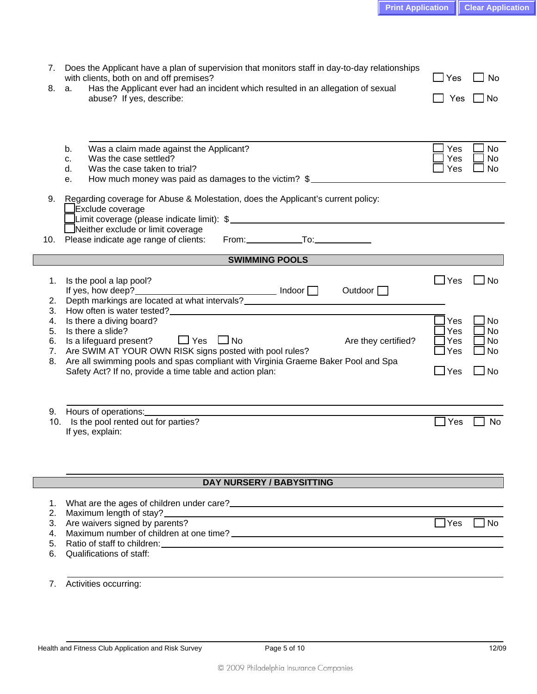| 7.<br>8.                         | Does the Applicant have a plan of supervision that monitors staff in day-to-day relationships<br>with clients, both on and off premises?<br>Has the Applicant ever had an incident which resulted in an allegation of sexual<br>a.<br>abuse? If yes, describe:                                                                                                                                                                                                                                                                                                             | $\Box$ Yes<br>Yes               | $\Box$ No<br><b>No</b>                         |
|----------------------------------|----------------------------------------------------------------------------------------------------------------------------------------------------------------------------------------------------------------------------------------------------------------------------------------------------------------------------------------------------------------------------------------------------------------------------------------------------------------------------------------------------------------------------------------------------------------------------|---------------------------------|------------------------------------------------|
|                                  | Was a claim made against the Applicant?<br>b.<br>Was the case settled?<br>C.<br>d.<br>Was the case taken to trial?<br>How much money was paid as damages to the victim? \$<br>е.                                                                                                                                                                                                                                                                                                                                                                                           | Yes<br>Yes<br>Yes               | No<br>No<br>No                                 |
| 9.                               | Regarding coverage for Abuse & Molestation, does the Applicant's current policy:<br>Exclude coverage<br>Neither exclude or limit coverage                                                                                                                                                                                                                                                                                                                                                                                                                                  |                                 |                                                |
|                                  | 10. Please indicate age range of clients:                                                                                                                                                                                                                                                                                                                                                                                                                                                                                                                                  |                                 |                                                |
|                                  | <b>SWIMMING POOLS</b>                                                                                                                                                                                                                                                                                                                                                                                                                                                                                                                                                      |                                 |                                                |
| 1.<br>2.                         | Is the pool a lap pool?<br>Outdoor $\Box$<br>Depth markings are located at what intervals?<br><u>Lepth markings</u> are located at what intervals?                                                                                                                                                                                                                                                                                                                                                                                                                         | $\exists$ Yes                   | $\Box$ No                                      |
| 3.<br>4.<br>5.<br>6.<br>7.<br>8. | How often is water tested?<br><u>Letter and the set of the set of the set of the set of the set of the set of the set of the set of the set of the set of the set of the set of the set of the set of the set of the set of the se</u><br>Is there a diving board?<br>Is there a slide?<br>Is a lifeguard present? $\Box$ Yes $\Box$ No<br>Are they certified?<br>Are SWIM AT YOUR OWN RISK signs posted with pool rules?<br>Are all swimming pools and spas compliant with Virginia Graeme Baker Pool and Spa<br>Safety Act? If no, provide a time table and action plan: | Yes<br>Yes<br>Yes<br>Yes<br>Yes | No<br><b>No</b><br>No<br>No<br>7N <sub>0</sub> |
|                                  | 9. Hours of operations:<br>10. Is the pool rented out for parties?<br>If yes, explain:                                                                                                                                                                                                                                                                                                                                                                                                                                                                                     | Yes                             | No                                             |
|                                  | DAY NURSERY / BABYSITTING                                                                                                                                                                                                                                                                                                                                                                                                                                                                                                                                                  |                                 |                                                |
|                                  |                                                                                                                                                                                                                                                                                                                                                                                                                                                                                                                                                                            |                                 |                                                |
| 1.<br>2.<br>3.<br>4.<br>5.       | Maximum length of stay?_<br>Are waivers signed by parents?                                                                                                                                                                                                                                                                                                                                                                                                                                                                                                                 | $\Box$ Yes                      | $\sqcap$ No                                    |
| 6.<br>7.                         | Qualifications of staff:<br>Activities occurring:                                                                                                                                                                                                                                                                                                                                                                                                                                                                                                                          |                                 |                                                |
|                                  |                                                                                                                                                                                                                                                                                                                                                                                                                                                                                                                                                                            |                                 |                                                |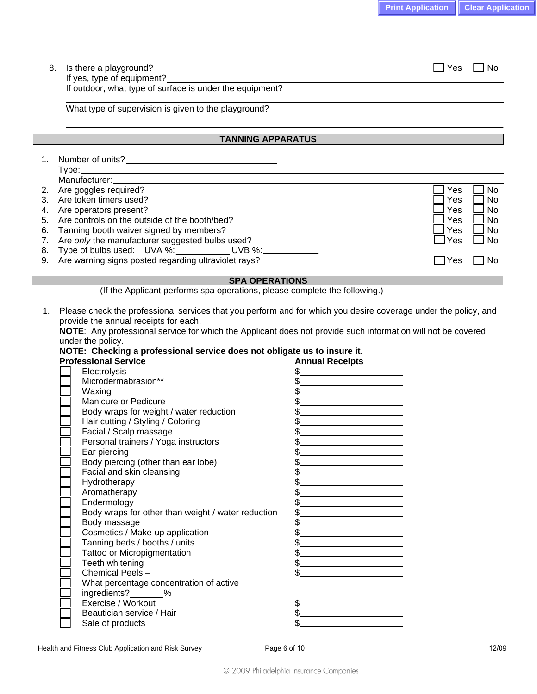| 8. | Is there a playground?<br>If yes, type of equipment?                       | Nο<br>Yes        |
|----|----------------------------------------------------------------------------|------------------|
|    | If outdoor, what type of surface is under the equipment?                   |                  |
|    | What type of supervision is given to the playground?                       |                  |
|    | <b>TANNING APPARATUS</b>                                                   |                  |
|    |                                                                            |                  |
|    |                                                                            |                  |
|    | Manufacturer: National Action of the Manufacturer:                         |                  |
| 2. | Are goggles required?                                                      | No<br>Yes        |
| 3. | Are token timers used?                                                     | No<br>Yes        |
| 4. | Are operators present?                                                     | N٥<br>Yes        |
| 5. | Are controls on the outside of the booth/bed?                              | Yes<br>No        |
| 6. | Tanning booth waiver signed by members?                                    | No<br>Yes        |
| 7. | Are only the manufacturer suggested bulbs used?                            | <b>No</b><br>Yes |
| 8. | Type of bulbs used: UVA %: UVB %: UVB %:                                   |                  |
| 9. | Are warning signs posted regarding ultraviolet rays?                       | – I Yes<br>No    |
|    | <b>SPA OPERATIONS</b>                                                      |                  |
|    | (If the Applicant performs spa operations, please complete the following.) |                  |

1. Please check the professional services that you perform and for which you desire coverage under the policy, and provide the annual receipts for each.

**NOTE**: Any professional service for which the Applicant does not provide such information will not be covered under the policy.

| NOTE: Checking a professional service does not obligate us to insure it. |                                                             |
|--------------------------------------------------------------------------|-------------------------------------------------------------|
| <b>Professional Service</b>                                              | <b>Annual Receipts</b>                                      |
| Electrolysis<br>\$                                                       |                                                             |
| Microdermabrasion**                                                      |                                                             |
| Waxing                                                                   | $\sim$                                                      |
| Manicure or Pedicure                                                     |                                                             |
| Body wraps for weight / water reduction                                  | $\frac{1}{2}$                                               |
| Hair cutting / Styling / Coloring                                        |                                                             |
| Facial / Scalp massage                                                   | <u> 1980 - Jan Barbara Barbara, maskin politik (</u>        |
| Personal trainers / Yoga instructors                                     | $\frac{1}{2}$                                               |
| Ear piercing                                                             | the control of the control of the control of the control of |
| Body piercing (other than ear lobe)                                      |                                                             |
| Facial and skin cleansing                                                | $\frac{1}{2}$                                               |
| Hydrotherapy                                                             |                                                             |
| Aromatherapy                                                             |                                                             |
| Endermology                                                              |                                                             |
| Body wraps for other than weight / water reduction                       | $\frac{1}{2}$                                               |
| Body massage                                                             | $\frac{1}{2}$                                               |
| Cosmetics / Make-up application                                          |                                                             |
| Tanning beds / booths / units                                            |                                                             |
| Tattoo or Micropigmentation                                              | <u> 1989 - Andrea Andrew Maria (h. 1989).</u>               |
| Teeth whitening                                                          |                                                             |
| Chemical Peels -                                                         |                                                             |
| What percentage concentration of active                                  |                                                             |
| ingredients?_______%                                                     |                                                             |
| Exercise / Workout                                                       |                                                             |
| Beautician service / Hair                                                |                                                             |
| Sale of products<br>\$                                                   |                                                             |

# Health and Fitness Club Application and Risk Survey **Page 6 of 10** 12/09 12/09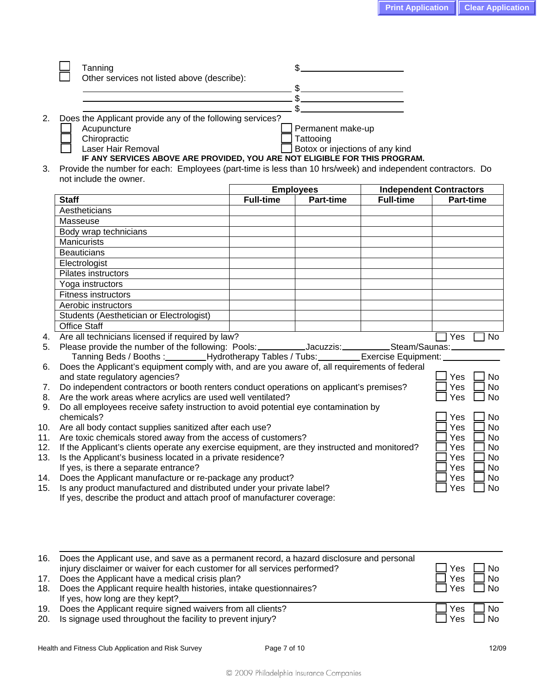| 3. | Acupuncture<br>Chiropractic<br>Laser Hair Removal<br>IF ANY SERVICES ABOVE ARE PROVIDED, YOU ARE NOT ELIGIBLE FOR THIS PROGRAM.                  |                  | Permanent make-up<br>Tattooing<br>Botox or injections of any kind |                                |                        |
|----|--------------------------------------------------------------------------------------------------------------------------------------------------|------------------|-------------------------------------------------------------------|--------------------------------|------------------------|
|    | Provide the number for each: Employees (part-time is less than 10 hrs/week) and independent contractors. Do<br>not include the owner.            |                  |                                                                   |                                |                        |
|    |                                                                                                                                                  |                  | <b>Employees</b>                                                  | <b>Independent Contractors</b> |                        |
|    | <b>Staff</b>                                                                                                                                     | <b>Full-time</b> | <b>Part-time</b>                                                  | <b>Full-time</b>               | <b>Part-time</b>       |
|    | Aestheticians                                                                                                                                    |                  |                                                                   |                                |                        |
|    | Masseuse                                                                                                                                         |                  |                                                                   |                                |                        |
|    | Body wrap technicians                                                                                                                            |                  |                                                                   |                                |                        |
|    | <b>Manicurists</b>                                                                                                                               |                  |                                                                   |                                |                        |
|    | <b>Beauticians</b>                                                                                                                               |                  |                                                                   |                                |                        |
|    | Electrologist                                                                                                                                    |                  |                                                                   |                                |                        |
|    | Pilates instructors                                                                                                                              |                  |                                                                   |                                |                        |
|    | Yoga instructors                                                                                                                                 |                  |                                                                   |                                |                        |
|    | <b>Fitness instructors</b>                                                                                                                       |                  |                                                                   |                                |                        |
|    | Aerobic instructors                                                                                                                              |                  |                                                                   |                                |                        |
|    | Students (Aesthetician or Electrologist)                                                                                                         |                  |                                                                   |                                |                        |
|    | <b>Office Staff</b>                                                                                                                              |                  |                                                                   |                                |                        |
|    | Are all technicians licensed if required by law?                                                                                                 |                  |                                                                   |                                | Yes<br>$\Box$ No       |
|    | Please provide the number of the following: Pools: ___________Jacuzzis: ___________Steam/Saunas: ____________                                    |                  |                                                                   |                                |                        |
|    | Tanning Beds / Booths : _________Hydrotherapy Tables / Tubs: _________Exercise Equipment: _________                                              |                  |                                                                   |                                |                        |
|    | Does the Applicant's equipment comply with, and are you aware of, all requirements of federal                                                    |                  |                                                                   |                                |                        |
|    | and state regulatory agencies?                                                                                                                   |                  |                                                                   |                                | Yes<br><b>No</b>       |
|    | Do independent contractors or booth renters conduct operations on applicant's premises?                                                          |                  |                                                                   |                                | No<br><b>Yes</b>       |
|    | Are the work areas where acrylics are used well ventilated?                                                                                      |                  |                                                                   |                                | No<br>Yes              |
|    | Do all employees receive safety instruction to avoid potential eye contamination by                                                              |                  |                                                                   |                                |                        |
|    | chemicals?                                                                                                                                       |                  |                                                                   |                                | No<br>Yes              |
|    | 10. Are all body contact supplies sanitized after each use?                                                                                      |                  |                                                                   |                                | <b>No</b><br>Yes       |
|    | 11. Are toxic chemicals stored away from the access of customers?                                                                                |                  |                                                                   |                                | Yes<br>No              |
|    | 12. If the Applicant's clients operate any exercise equipment, are they instructed and monitored?                                                |                  |                                                                   |                                | Yes<br>No              |
|    | Is the Applicant's business located in a private residence?                                                                                      |                  |                                                                   |                                | $\mathsf{I}$ No<br>Yes |
|    | If yes, is there a separate entrance?                                                                                                            |                  |                                                                   |                                | Yes<br>No              |
|    | Does the Applicant manufacture or re-package any product?                                                                                        |                  |                                                                   |                                | No<br>Yes              |
|    | Is any product manufactured and distributed under your private label?<br>If yes, describe the product and attach proof of manufacturer coverage: |                  |                                                                   |                                | <b>No</b><br>Yes       |

| 16.<br>17.<br>18. | Does the Applicant use, and save as a permanent record, a hazard disclosure and personal<br>injury disclaimer or waiver for each customer for all services performed?<br>Does the Applicant have a medical crisis plan?<br>Does the Applicant require health histories, intake questionnaires? | l No<br>Yes<br>$\Box$ No<br><b>Yes</b><br>⊟ No<br><b>Yes</b> |
|-------------------|------------------------------------------------------------------------------------------------------------------------------------------------------------------------------------------------------------------------------------------------------------------------------------------------|--------------------------------------------------------------|
|                   | If yes, how long are they kept?<br>19. Does the Applicant require signed waivers from all clients?<br>20. Is signage used throughout the facility to prevent injury?                                                                                                                           | ⊺ No<br>Yes<br>∣No<br>Yes                                    |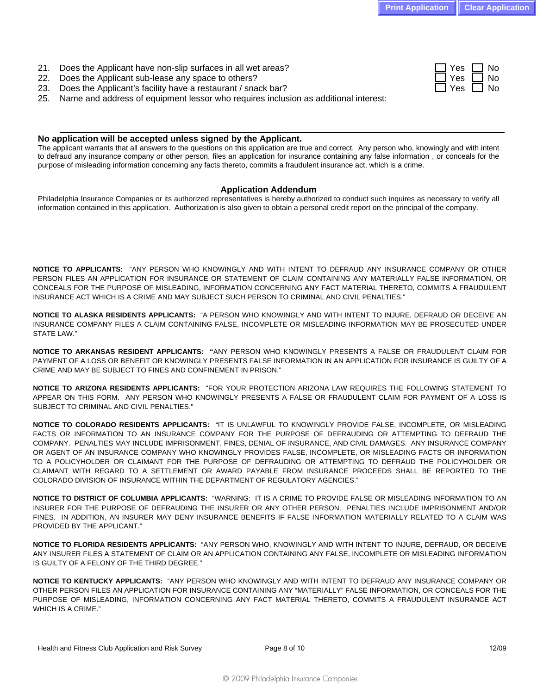- 21. Does the Applicant have non-slip surfaces in all wet areas?  $\Box$  Yes  $\Box$  No
- 22. Does the Applicant sub-lease any space to others?  $\Box$  Yes  $\Box$  Yes  $\Box$  No
- 23. Does the Applicant's facility have a restaurant / snack bar?  $\Box$  Yes  $\Box$  No
- 25. Name and address of equipment lessor who requires inclusion as additional interest:

### **No application will be accepted unless signed by the Applicant.**

The applicant warrants that all answers to the questions on this application are true and correct. Any person who, knowingly and with intent to defraud any insurance company or other person, files an application for insurance containing any false information , or conceals for the purpose of misleading information concerning any facts thereto, commits a fraudulent insurance act, which is a crime.

## **Application Addendum**

Philadelphia Insurance Companies or its authorized representatives is hereby authorized to conduct such inquires as necessary to verify all information contained in this application. Authorization is also given to obtain a personal credit report on the principal of the company.

**NOTICE TO APPLICANTS:** "ANY PERSON WHO KNOWINGLY AND WITH INTENT TO DEFRAUD ANY INSURANCE COMPANY OR OTHER PERSON FILES AN APPLICATION FOR INSURANCE OR STATEMENT OF CLAIM CONTAINING ANY MATERIALLY FALSE INFORMATION, OR CONCEALS FOR THE PURPOSE OF MISLEADING, INFORMATION CONCERNING ANY FACT MATERIAL THERETO, COMMITS A FRAUDULENT INSURANCE ACT WHICH IS A CRIME AND MAY SUBJECT SUCH PERSON TO CRIMINAL AND CIVIL PENALTIES."

**NOTICE TO ALASKA RESIDENTS APPLICANTS:** "A PERSON WHO KNOWINGLY AND WITH INTENT TO INJURE, DEFRAUD OR DECEIVE AN INSURANCE COMPANY FILES A CLAIM CONTAINING FALSE, INCOMPLETE OR MISLEADING INFORMATION MAY BE PROSECUTED UNDER STATE LAW."

**NOTICE TO ARKANSAS RESIDENT APPLICANTS: "**ANY PERSON WHO KNOWINGLY PRESENTS A FALSE OR FRAUDULENT CLAIM FOR PAYMENT OF A LOSS OR BENEFIT OR KNOWINGLY PRESENTS FALSE INFORMATION IN AN APPLICATION FOR INSURANCE IS GUILTY OF A CRIME AND MAY BE SUBJECT TO FINES AND CONFINEMENT IN PRISON."

**NOTICE TO ARIZONA RESIDENTS APPLICANTS:** "FOR YOUR PROTECTION ARIZONA LAW REQUIRES THE FOLLOWING STATEMENT TO APPEAR ON THIS FORM. ANY PERSON WHO KNOWINGLY PRESENTS A FALSE OR FRAUDULENT CLAIM FOR PAYMENT OF A LOSS IS SUBJECT TO CRIMINAL AND CIVIL PENALTIES."

**NOTICE TO COLORADO RESIDENTS APPLICANTS:** "IT IS UNLAWFUL TO KNOWINGLY PROVIDE FALSE, INCOMPLETE, OR MISLEADING FACTS OR INFORMATION TO AN INSURANCE COMPANY FOR THE PURPOSE OF DEFRAUDING OR ATTEMPTING TO DEFRAUD THE COMPANY. PENALTIES MAY INCLUDE IMPRISONMENT, FINES, DENIAL OF INSURANCE, AND CIVIL DAMAGES. ANY INSURANCE COMPANY OR AGENT OF AN INSURANCE COMPANY WHO KNOWINGLY PROVIDES FALSE, INCOMPLETE, OR MISLEADING FACTS OR INFORMATION TO A POLICYHOLDER OR CLAIMANT FOR THE PURPOSE OF DEFRAUDING OR ATTEMPTING TO DEFRAUD THE POLICYHOLDER OR CLAIMANT WITH REGARD TO A SETTLEMENT OR AWARD PAYABLE FROM INSURANCE PROCEEDS SHALL BE REPORTED TO THE COLORADO DIVISION OF INSURANCE WITHIN THE DEPARTMENT OF REGULATORY AGENCIES."

**NOTICE TO DISTRICT OF COLUMBIA APPLICANTS:** "WARNING: IT IS A CRIME TO PROVIDE FALSE OR MISLEADING INFORMATION TO AN INSURER FOR THE PURPOSE OF DEFRAUDING THE INSURER OR ANY OTHER PERSON. PENALTIES INCLUDE IMPRISONMENT AND/OR FINES. IN ADDITION, AN INSURER MAY DENY INSURANCE BENEFITS IF FALSE INFORMATION MATERIALLY RELATED TO A CLAIM WAS PROVIDED BY THE APPLICANT."

**NOTICE TO FLORIDA RESIDENTS APPLICANTS:** "ANY PERSON WHO, KNOWINGLY AND WITH INTENT TO INJURE, DEFRAUD, OR DECEIVE ANY INSURER FILES A STATEMENT OF CLAIM OR AN APPLICATION CONTAINING ANY FALSE, INCOMPLETE OR MISLEADING INFORMATION IS GUILTY OF A FELONY OF THE THIRD DEGREE."

**NOTICE TO KENTUCKY APPLICANTS:** "ANY PERSON WHO KNOWINGLY AND WITH INTENT TO DEFRAUD ANY INSURANCE COMPANY OR OTHER PERSON FILES AN APPLICATION FOR INSURANCE CONTAINING ANY "MATERIALLY" FALSE INFORMATION, OR CONCEALS FOR THE PURPOSE OF MISLEADING, INFORMATION CONCERNING ANY FACT MATERIAL THERETO, COMMITS A FRAUDULENT INSURANCE ACT WHICH IS A CRIME."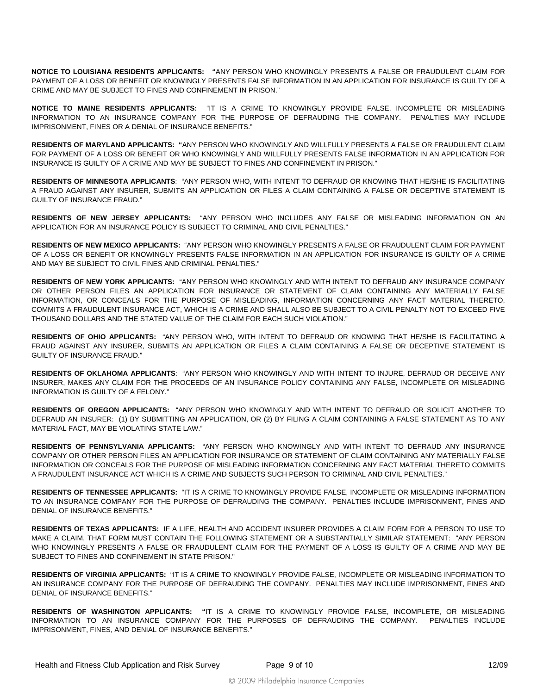**NOTICE TO LOUISIANA RESIDENTS APPLICANTS: "**ANY PERSON WHO KNOWINGLY PRESENTS A FALSE OR FRAUDULENT CLAIM FOR PAYMENT OF A LOSS OR BENEFIT OR KNOWINGLY PRESENTS FALSE INFORMATION IN AN APPLICATION FOR INSURANCE IS GUILTY OF A CRIME AND MAY BE SUBJECT TO FINES AND CONFINEMENT IN PRISON."

**NOTICE TO MAINE RESIDENTS APPLICANTS:** "IT IS A CRIME TO KNOWINGLY PROVIDE FALSE, INCOMPLETE OR MISLEADING INFORMATION TO AN INSURANCE COMPANY FOR THE PURPOSE OF DEFRAUDING THE COMPANY. PENALTIES MAY INCLUDE IMPRISONMENT, FINES OR A DENIAL OF INSURANCE BENEFITS."

**RESIDENTS OF MARYLAND APPLICANTS: "**ANY PERSON WHO KNOWINGLY AND WILLFULLY PRESENTS A FALSE OR FRAUDULENT CLAIM FOR PAYMENT OF A LOSS OR BENEFIT OR WHO KNOWINGLY AND WILLFULLY PRESENTS FALSE INFORMATION IN AN APPLICATION FOR INSURANCE IS GUILTY OF A CRIME AND MAY BE SUBJECT TO FINES AND CONFINEMENT IN PRISON."

**RESIDENTS OF MINNESOTA APPLICANTS**: "ANY PERSON WHO, WITH INTENT TO DEFRAUD OR KNOWING THAT HE/SHE IS FACILITATING A FRAUD AGAINST ANY INSURER, SUBMITS AN APPLICATION OR FILES A CLAIM CONTAINING A FALSE OR DECEPTIVE STATEMENT IS GUILTY OF INSURANCE FRAUD."

**RESIDENTS OF NEW JERSEY APPLICANTS:** "ANY PERSON WHO INCLUDES ANY FALSE OR MISLEADING INFORMATION ON AN APPLICATION FOR AN INSURANCE POLICY IS SUBJECT TO CRIMINAL AND CIVIL PENALTIES."

**RESIDENTS OF NEW MEXICO APPLICANTS:** "ANY PERSON WHO KNOWINGLY PRESENTS A FALSE OR FRAUDULENT CLAIM FOR PAYMENT OF A LOSS OR BENEFIT OR KNOWINGLY PRESENTS FALSE INFORMATION IN AN APPLICATION FOR INSURANCE IS GUILTY OF A CRIME AND MAY BE SUBJECT TO CIVIL FINES AND CRIMINAL PENALTIES."

**RESIDENTS OF NEW YORK APPLICANTS:** "ANY PERSON WHO KNOWINGLY AND WITH INTENT TO DEFRAUD ANY INSURANCE COMPANY OR OTHER PERSON FILES AN APPLICATION FOR INSURANCE OR STATEMENT OF CLAIM CONTAINING ANY MATERIALLY FALSE INFORMATION, OR CONCEALS FOR THE PURPOSE OF MISLEADING, INFORMATION CONCERNING ANY FACT MATERIAL THERETO, COMMITS A FRAUDULENT INSURANCE ACT, WHICH IS A CRIME AND SHALL ALSO BE SUBJECT TO A CIVIL PENALTY NOT TO EXCEED FIVE THOUSAND DOLLARS AND THE STATED VALUE OF THE CLAIM FOR EACH SUCH VIOLATION."

**RESIDENTS OF OHIO APPLICANTS:** "ANY PERSON WHO, WITH INTENT TO DEFRAUD OR KNOWING THAT HE/SHE IS FACILITATING A FRAUD AGAINST ANY INSURER, SUBMITS AN APPLICATION OR FILES A CLAIM CONTAINING A FALSE OR DECEPTIVE STATEMENT IS GUILTY OF INSURANCE FRAUD."

**RESIDENTS OF OKLAHOMA APPLICANTS**: "ANY PERSON WHO KNOWINGLY AND WITH INTENT TO INJURE, DEFRAUD OR DECEIVE ANY INSURER, MAKES ANY CLAIM FOR THE PROCEEDS OF AN INSURANCE POLICY CONTAINING ANY FALSE, INCOMPLETE OR MISLEADING INFORMATION IS GUILTY OF A FELONY."

**RESIDENTS OF OREGON APPLICANTS:** "ANY PERSON WHO KNOWINGLY AND WITH INTENT TO DEFRAUD OR SOLICIT ANOTHER TO DEFRAUD AN INSURER: (1) BY SUBMITTING AN APPLICATION, OR (2) BY FILING A CLAIM CONTAINING A FALSE STATEMENT AS TO ANY MATERIAL FACT, MAY BE VIOLATING STATE LAW."

**RESIDENTS OF PENNSYLVANIA APPLICANTS:** "ANY PERSON WHO KNOWINGLY AND WITH INTENT TO DEFRAUD ANY INSURANCE COMPANY OR OTHER PERSON FILES AN APPLICATION FOR INSURANCE OR STATEMENT OF CLAIM CONTAINING ANY MATERIALLY FALSE INFORMATION OR CONCEALS FOR THE PURPOSE OF MISLEADING INFORMATION CONCERNING ANY FACT MATERIAL THERETO COMMITS A FRAUDULENT INSURANCE ACT WHICH IS A CRIME AND SUBJECTS SUCH PERSON TO CRIMINAL AND CIVIL PENALTIES."

**RESIDENTS OF TENNESSEE APPLICANTS:** "IT IS A CRIME TO KNOWINGLY PROVIDE FALSE, INCOMPLETE OR MISLEADING INFORMATION TO AN INSURANCE COMPANY FOR THE PURPOSE OF DEFRAUDING THE COMPANY. PENALTIES INCLUDE IMPRISONMENT, FINES AND DENIAL OF INSURANCE BENEFITS."

**RESIDENTS OF TEXAS APPLICANTS:** IF A LIFE, HEALTH AND ACCIDENT INSURER PROVIDES A CLAIM FORM FOR A PERSON TO USE TO MAKE A CLAIM, THAT FORM MUST CONTAIN THE FOLLOWING STATEMENT OR A SUBSTANTIALLY SIMILAR STATEMENT: "ANY PERSON WHO KNOWINGLY PRESENTS A FALSE OR FRAUDULENT CLAIM FOR THE PAYMENT OF A LOSS IS GUILTY OF A CRIME AND MAY BE SUBJECT TO FINES AND CONFINEMENT IN STATE PRISON."

**RESIDENTS OF VIRGINIA APPLICANTS:** "IT IS A CRIME TO KNOWINGLY PROVIDE FALSE, INCOMPLETE OR MISLEADING INFORMATION TO AN INSURANCE COMPANY FOR THE PURPOSE OF DEFRAUDING THE COMPANY. PENALTIES MAY INCLUDE IMPRISONMENT, FINES AND DENIAL OF INSURANCE BENEFITS."

**RESIDENTS OF WASHINGTON APPLICANTS: "**IT IS A CRIME TO KNOWINGLY PROVIDE FALSE, INCOMPLETE, OR MISLEADING INFORMATION TO AN INSURANCE COMPANY FOR THE PURPOSES OF DEFRAUDING THE COMPANY. PENALTIES INCLUDE IMPRISONMENT, FINES, AND DENIAL OF INSURANCE BENEFITS."